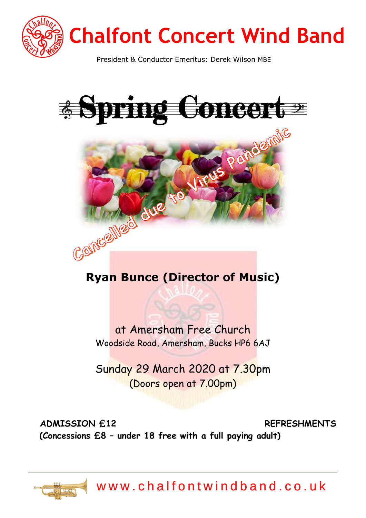

# **Chalfont Concert Wind Band**

President & Conductor Emeritus: Derek Wilson MBE





# **Ryan Bunce (Director of Music)**

at Amersham Free Church Woodside Road, Amersham, Bucks HP6 6AJ

Sunday 29 March 2020 at 7.30pm (Doors open at 7.00pm)

**ADMISSION £12 REFRE[SH](https://creativecommons.org/licenses/by-sa/3.0/)MENTS (Concessions £8 – under 18 free with a full paying adult)**



www.chalfontwindband.co.uk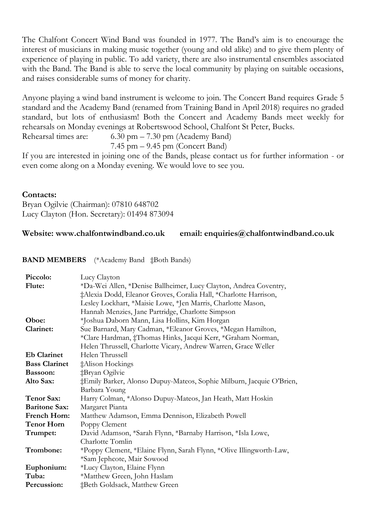The Chalfont Concert Wind Band was founded in 1977. The Band's aim is to encourage the interest of musicians in making music together (young and old alike) and to give them plenty of experience of playing in public. To add variety, there are also instrumental ensembles associated with the Band. The Band is able to serve the local community by playing on suitable occasions, and raises considerable sums of money for charity.

Anyone playing a wind band instrument is welcome to join. The Concert Band requires Grade 5 standard and the Academy Band (renamed from Training Band in April 2018) requires no graded standard, but lots of enthusiasm! Both the Concert and Academy Bands meet weekly for rehearsals on Monday evenings at Robertswood School, Chalfont St Peter, Bucks.

Rehearsal times are: 6.30 pm – 7.30 pm (Academy Band)

7.45 pm – 9.45 pm (Concert Band)

If you are interested in joining one of the Bands, please contact us for further information - or even come along on a Monday evening. We would love to see you.

#### **Contacts:**

Bryan Ogilvie (Chairman): 07810 648702 Lucy Clayton (Hon. Secretary): 01494 873094

#### **Website: www.chalfontwindband.co.uk email: enquiries@chalfontwindband.co.uk**

**BAND MEMBERS** (\*Academy Band ‡Both Bands)

| Piccolo:             | Lucy Clayton                                                         |
|----------------------|----------------------------------------------------------------------|
| Flute:               | *Da-Wei Allen, *Denise Ballheimer, Lucy Clayton, Andrea Coventry,    |
|                      | ‡Alexia Dodd, Eleanor Groves, Coralia Hall, *Charlotte Harrison,     |
|                      | Lesley Lockhart, *Maisie Lowe, *Jen Marris, Charlotte Mason,         |
|                      | Hannah Menzies, Jane Partridge, Charlotte Simpson                    |
| Oboe:                | *Joshua Daborn Mann, Lisa Hollins, Kim Horgan                        |
| Clarinet:            | Sue Barnard, Mary Cadman, *Eleanor Groves, *Megan Hamilton,          |
|                      | *Clare Hardman, ‡Thomas Hinks, Jacqui Kerr, *Graham Norman,          |
|                      | Helen Thrussell, Charlotte Vicary, Andrew Warren, Grace Weller       |
| <b>Eb Clarinet</b>   | Helen Thrussell                                                      |
| <b>Bass Clarinet</b> | ‡Alison Hockings                                                     |
| Bassoon:             | ‡Bryan Ogilvie                                                       |
| Alto Sax:            | ‡Emily Barker, Alonso Dupuy-Mateos, Sophie Milburn, Jacquie O'Brien, |
|                      | Barbara Young                                                        |
| <b>Tenor Sax:</b>    | Harry Colman, *Alonso Dupuy-Mateos, Jan Heath, Matt Hoskin           |
| <b>Baritone Sax:</b> | Margaret Pianta                                                      |
| French Horn:         | Matthew Adamson, Emma Dennison, Elizabeth Powell                     |
| <b>Tenor Horn</b>    | Poppy Clement                                                        |
| Trumpet:             | David Adamson, *Sarah Flynn, *Barnaby Harrison, *Isla Lowe,          |
|                      | Charlotte Tomlin                                                     |
| Trombone:            | *Poppy Clement, *Elaine Flynn, Sarah Flynn, *Olive Illingworth-Law,  |
|                      | *Sam Jephcote, Mair Sowood                                           |
| Euphonium:           | *Lucy Clayton, Elaine Flynn                                          |
| Tuba:                | *Matthew Green, John Haslam                                          |
| Percussion:          | ‡Beth Goldsack, Matthew Green                                        |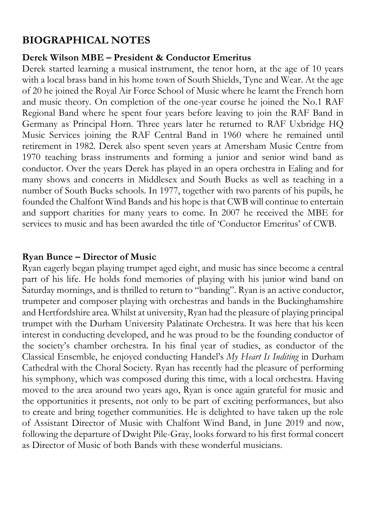# **BIOGRAPHICAL NOTES**

# **Derek Wilson MBE – President & Conductor Emeritus**

Derek started learning a musical instrument, the tenor horn, at the age of 10 years with a local brass band in his home town of South Shields, Tyne and Wear. At the age of 20 he joined the Royal Air Force School of Music where he learnt the French horn and music theory. On completion of the one-year course he joined the No.1 RAF Regional Band where he spent four years before leaving to join the RAF Band in Germany as Principal Horn. Three years later he returned to RAF Uxbridge HQ Music Services joining the RAF Central Band in 1960 where he remained until retirement in 1982. Derek also spent seven years at Amersham Music Centre from 1970 teaching brass instruments and forming a junior and senior wind band as conductor. Over the years Derek has played in an opera orchestra in Ealing and for many shows and concerts in Middlesex and South Bucks as well as teaching in a number of South Bucks schools. In 1977, together with two parents of his pupils, he founded the Chalfont Wind Bands and his hope is that CWB will continue to entertain and support charities for many years to come. In 2007 he received the MBE for services to music and has been awarded the title of 'Conductor Emeritus' of CWB.

# **Ryan Bunce – Director of Music**

Ryan eagerly began playing trumpet aged eight, and music has since become a central part of his life. He holds fond memories of playing with his junior wind band on Saturday mornings, and is thrilled to return to "banding". Ryan is an active conductor, trumpeter and composer playing with orchestras and bands in the Buckinghamshire and Hertfordshire area. Whilst at university, Ryan had the pleasure of playing principal trumpet with the Durham University Palatinate Orchestra. It was here that his keen interest in conducting developed, and he was proud to be the founding conductor of the society's chamber orchestra. In his final year of studies, as conductor of the Classical Ensemble, he enjoyed conducting Handel's *My Heart Is Inditing* in Durham Cathedral with the Choral Society. Ryan has recently had the pleasure of performing his symphony, which was composed during this time, with a local orchestra. Having moved to the area around two years ago, Ryan is once again grateful for music and the opportunities it presents, not only to be part of exciting performances, but also to create and bring together communities. He is delighted to have taken up the role of Assistant Director of Music with Chalfont Wind Band, in June 2019 and now, following the departure of Dwight Pile-Gray, looks forward to his first formal concert as Director of Music of both Bands with these wonderful musicians.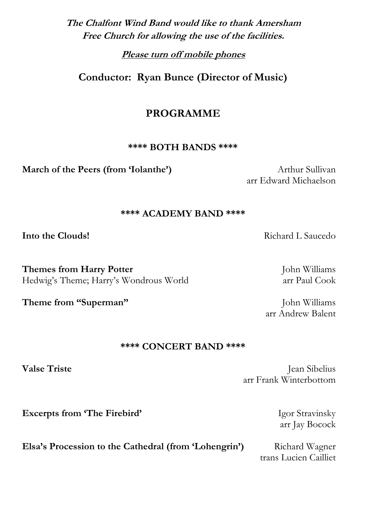# **The Chalfont Wind Band would like to thank Amersham Free Church for allowing the use of the facilities.**

**Please turn off mobile phones**

**Conductor: Ryan Bunce (Director of Music)**

# **PROGRAMME**

#### **\*\*\*\* BOTH BANDS \*\*\*\***

**March of the Peers (from 'Iolanthe')** Arthur Sullivan

arr Edward Michaelson

#### **\*\*\*\* ACADEMY BAND \*\*\*\***

**Themes from Harry Potter** John Williams Hedwig's Theme; Harry's Wondrous World arr Paul Cook

#### **\*\*\*\* CONCERT BAND \*\*\*\***

**Valse Triste** Jean Sibelius arr Frank Winterbottom

arr Jay Bocock

trans Lucien Cailliet

**Excerpts from 'The Firebird'** Igor Stravinsky

**Elsa's Procession to the Cathedral (from 'Lohengrin')** Richard Wagner

**Into the Clouds!** Richard L Saucedo

arr Andrew Balent

**Theme from "Superman"** John Williams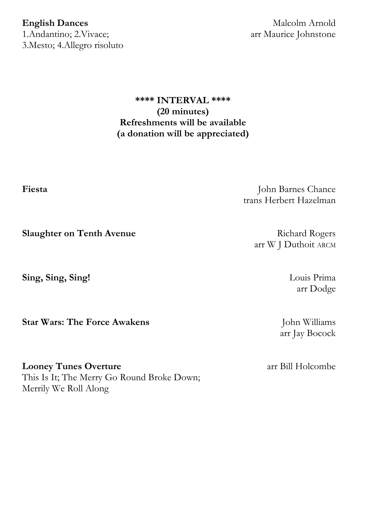1.Andantino; 2.Vivace; arr Maurice Johnstone 3.Mesto; 4.Allegro risoluto

**English Dances** Malcolm Arnold

### **\*\*\*\* INTERVAL \*\*\*\* (20 minutes) Refreshments will be available (a donation will be appreciated)**

**Fiesta** John Barnes Chance trans Herbert Hazelman

arr W J Duthoit ARCM

arr Dodge

arr Jay Bocock

**Slaughter on Tenth Avenue** Richard Rogers

**Sing, Sing, Sing!** Louis Prima

**Star Wars: The Force Awakens** John Williams

**Looney Tunes Overture** arr Bill Holcombe This Is It; The Merry Go Round Broke Down; Merrily We Roll Along